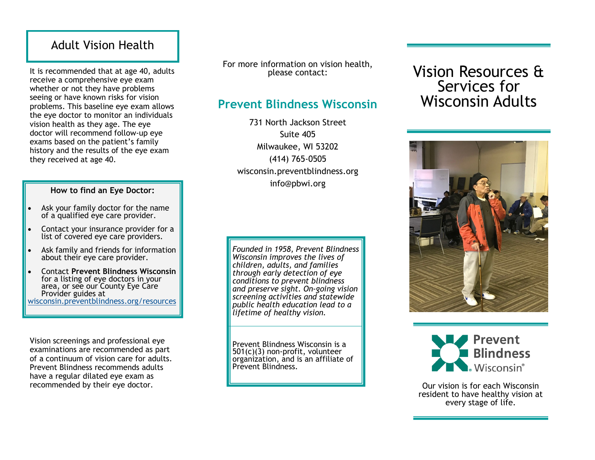## Adult Vision Health

It is recommended that at age 40, adults receive a comprehensive eye exam whether or not they have problems seeing or have known risks for vision problems. This baseline eye exam allows the eye doctor to monitor an individuals vision health as they age. The eye doctor will recommend follow-up eye exams based on the patient's family history and the results of the eye exam they received at age 40.

#### **How to find an Eye Doctor:**

- Ask your family doctor for the name of a qualified eye care provider.
- Contact your insurance provider for a list of covered eye care providers.
- Ask family and friends for information about their eye care provider.
- Contact **Prevent Blindness Wisconsin**  for a listing of eye doctors in your area, or see our County Eye Care Provider guides at [wisconsin.preventblindness.org/resources](https://wisconsin.preventblindness.org/resources)

Vision screenings and professional eye examinations are recommended as part of a continuum of vision care for adults. Prevent Blindness recommends adults have a regular dilated eye exam as recommended by their eye doctor.

For more information on vision health, please contact:

## **Prevent Blindness Wisconsin**

731 North Jackson Street Suite 405 Milwaukee, WI 53202 (414) 765-0505 wisconsin.preventblindness.org info@pbwi.org

*Founded in 1958, Prevent Blindness Wisconsin improves the lives of children, adults, and families through early detection of eye conditions to prevent blindness and preserve sight. On-going vision screening activities and statewide public health education lead to a lifetime of healthy vision.*

Prevent Blindness Wisconsin is a 501(c)(3) non-profit, volunteer organization, and is an affiliate of Prevent Blindness.

# Vision Resources & Services for Wisconsin Adults





Our vision is for each Wisconsin resident to have healthy vision at every stage of life.